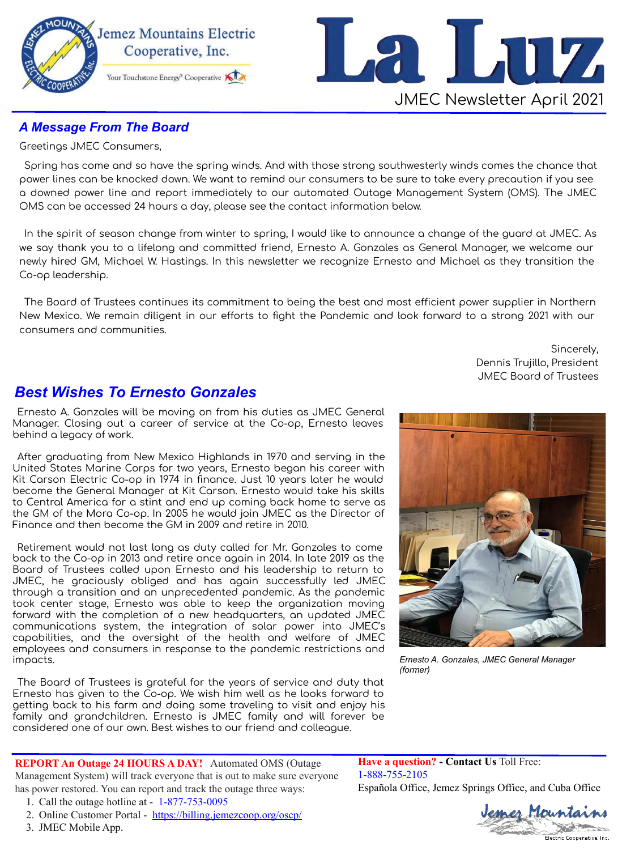



## **A Message From The Board**

Greetings JMEC Consumers,

Spring has come and so have the spring winds. And with those strong southwesterly winds comes the chance that power lines can be knocked down. We want to remind our consumers to be sure to take every precaution if you see a downed power line and report immediately to our automated Outage Management System (OMS). The JMEC OMS can be accessed 24 hours a day, please see the contact information below.

In the spirit of season change from winter to spring, I would like to announce a change of the guard at JMEC. As we say thank you to a lifelong and committed friend, Ernesto A. Gonzales as General Manager, we welcome our newly hired GM, Michael W. Hastings. In this newsletter we recognize Ernesto and Michael as they transition the Co-op leadership.

The Board of Trustees continues its commitment to being the best and most efficient power supplier in Northern New Mexico. We remain diligent in our efforts to fight the Pandemic and look forward to a strong 2021 with our consumers and communities.

> Sincerely, Dennis Trujillo, President **JMEC Board of Trustees**

## **Best Wishes To Ernesto Gonzales**

Ernesto A. Gonzales will be moving on from his duties as JMEC General Manager. Closing out a career of service at the Co-op, Ernesto leaves behind a legacy of work.

After graduating from New Mexico Highlands in 1970 and serving in the United States Marine Corps for two years, Ernesto began his career with Kit Carson Electric Co-op in 1974 in finance. Just 10 years later he would become the General Manager at Kit Carson. Ernesto would take his skills to Central America for a stint and end up coming back home to serve as the GM of the Mora Co-op. In 2005 he would join JMEC as the Director of Finance and then become the GM in 2009 and retire in 2010.

Retirement would not last long as duty called for Mr. Gonzales to come back to the Co-op in 2013 and retire once again in 2014. In late 2019 as the Board of Trustees called upon Ernesto and his leadership to return to JMEC, he graciously obliged and has again successfully led JMEC through a transition and an unprecedented pandemic. As the pandemic took center stage, Ernesto was able to keep the organization moving forward with the completion of a new headquarters, an updated JMEC communications system, the integration of solar power into JMEC's capabilities, and the oversight of the health and welfare of JMEC employees and consumers in response to the pandemic restrictions and impacts.

The Board of Trustees is grateful for the years of service and duty that Ernesto has given to the Co-op. We wish him well as he looks forward to getting back to his farm and doing some traveling to visit and enjoy his family and grandchildren. Ernesto is JMEC family and will forever be considered one of our own. Best wishes to our friend and colleague.

REPORT An Outage 24 HOURS A DAY! Automated OMS (Outage Management System) will track everyone that is out to make sure everyone has power restored. You can report and track the outage three ways:

- 1. Call the outage hotline at 1-877-753-0095
- 2. Online Customer Portal https://billing.jemezcoop.org/oscp/
- 3. JMEC Mobile App.



Ernesto A. Gonzales, JMEC General Manager (former)

**Have a question?** - Contact Us Toll Free: 1-888-755-2105 Española Office, Jemez Springs Office, and Cuba Office